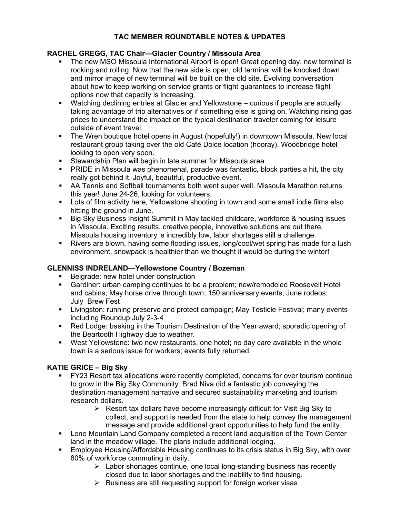## **TAC MEMBER ROUNDTABLE NOTES & UPDATES**

## **RACHEL GREGG, TAC Chair—Glacier Country / Missoula Area**

- The new MSO Missoula International Airport is open! Great opening day, new terminal is rocking and rolling. Now that the new side is open, old terminal will be knocked down and mirror image of new terminal will be built on the old site. Evolving conversation about how to keep working on service grants or flight guarantees to increase flight options now that capacity is increasing.
- Watching declining entries at Glacier and Yellowstone curious if people are actually taking advantage of trip alternatives or if something else is going on. Watching rising gas prices to understand the impact on the typical destination traveler coming for leisure outside of event travel.
- The Wren boutique hotel opens in August (hopefully!) in downtown Missoula. New local restaurant group taking over the old Café Dolce location (hooray). Woodbridge hotel looking to open very soon.
- **Stewardship Plan will begin in late summer for Missoula area.**
- PRIDE in Missoula was phenomenal, parade was fantastic, block parties a hit, the city really got behind it. Joyful, beautiful, productive event.
- AA Tennis and Softball tournaments both went super well. Missoula Marathon returns this year! June 24-26, looking for volunteers.
- **Lots of film activity here, Yellowstone shooting in town and some small indie films also** hitting the ground in June.
- Big Sky Business Insight Summit in May tackled childcare, workforce & housing issues in Missoula. Exciting results, creative people, innovative solutions are out there. Missoula housing inventory is incredibly low, labor shortages still a challenge.
- Rivers are blown, having some flooding issues, long/cool/wet spring has made for a lush environment, snowpack is healthier than we thought it would be during the winter!

## **GLENNISS INDRELAND—Yellowstone Country / Bozeman**

- Belgrade: new hotel under construction
- Gardiner: urban camping continues to be a problem; new/remodeled Roosevelt Hotel and cabins; May horse drive through town; 150 anniversary events; June rodeos; July Brew Fest
- **EXECT** Livingston: running preserve and protect campaign; May Testicle Festival; many events including Roundup July 2-3-4
- Red Lodge: basking in the Tourism Destination of the Year award; sporadic opening of the Beartooth Highway due to weather.
- West Yellowstone: two new restaurants, one hotel; no day care available in the whole town is a serious issue for workers; events fully returned.

# **KATIE GRICE – Big Sky**

- FY23 Resort tax allocations were recently completed, concerns for over tourism continue to grow in the Big Sky Community. Brad Niva did a fantastic job conveying the destination management narrative and secured sustainability marketing and tourism research dollars.
	- $\triangleright$  Resort tax dollars have become increasingly difficult for Visit Big Sky to collect, and support is needed from the state to help convey the management message and provide additional grant opportunities to help fund the entity.
- Lone Mountain Land Company completed a recent land acquisition of the Town Center land in the meadow village. The plans include additional lodging.
- Employee Housing/Affordable Housing continues to its crisis status in Big Sky, with over 80% of workforce commuting in daily.
	- $\triangleright$  Labor shortages continue, one local long-standing business has recently closed due to labor shortages and the inability to find housing.
	- $\triangleright$  Business are still requesting support for foreign worker visas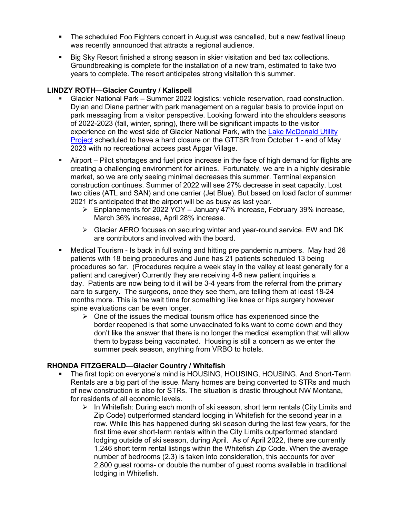- The scheduled Foo Fighters concert in August was cancelled, but a new festival lineup was recently announced that attracts a regional audience.
- Big Sky Resort finished a strong season in skier visitation and bed tax collections. Groundbreaking is complete for the installation of a new tram, estimated to take two years to complete. The resort anticipates strong visitation this summer.

### **LINDZY ROTH—Glacier Country / Kalispell**

- Glacier National Park Summer 2022 logistics: vehicle reservation, road construction. Dylan and Diane partner with park management on a regular basis to provide input on park messaging from a visitor perspective. Looking forward into the shoulders seasons of 2022-2023 (fall, winter, spring), there will be significant impacts to the visitor experience on the west side of Glacier National Park, with the Lake [McDonald](https://www.nps.gov/glac/planyourvisit/projectwork.htm) Utility [Project](https://www.nps.gov/glac/planyourvisit/projectwork.htm) scheduled to have a hard closure on the GTTSR from October 1 - end of May 2023 with no recreational access past Apgar Village.
- Airport Pilot shortages and fuel price increase in the face of high demand for flights are creating a challenging environment for airlines. Fortunately, we are in a highly desirable market, so we are only seeing minimal decreases this summer. Terminal expansion construction continues. Summer of 2022 will see 27% decrease in seat capacity. Lost two cities (ATL and SAN) and one carrier (Jet Blue). But based on load factor of summer 2021 it's anticipated that the airport will be as busy as last year.
	- $\triangleright$  Enplanements for 2022 YOY January 47% increase, February 39% increase, March 36% increase, April 28% increase.
	- $\triangleright$  Glacier AERO focuses on securing winter and year-round service. EW and DK are contributors and involved with the board.
- Medical Tourism Is back in full swing and hitting pre pandemic numbers. May had 26 patients with 18 being procedures and June has 21 patients scheduled 13 being procedures so far. (Procedures require a week stay in the valley at least generally for a patient and caregiver) Currently they are receiving 4-6 new patient inquiries a day. Patients are now being told it will be 3-4 years from the referral from the primary care to surgery. The surgeons, once they see them, are telling them at least 18-24 months more. This is the wait time for something like knee or hips surgery however spine evaluations can be even longer.
	- $\triangleright$  One of the issues the medical tourism office has experienced since the border reopened is that some unvaccinated folks want to come down and they don't like the answer that there is no longer the medical exemption that will allow them to bypass being vaccinated. Housing is still a concern as we enter the summer peak season, anything from VRBO to hotels.

#### **RHONDA FITZGERALD—Glacier Country / Whitefish**

- The first topic on everyone's mind is HOUSING, HOUSING, HOUSING. And Short-Term Rentals are a big part of the issue. Many homes are being converted to STRs and much of new construction is also for STRs. The situation is drastic throughout NW Montana, for residents of all economic levels.
	- $\triangleright$  In Whitefish: During each month of ski season, short term rentals (City Limits and Zip Code) outperformed standard lodging in Whitefish for the second year in a row. While this has happened during ski season during the last few years, for the first time ever short-term rentals within the City Limits outperformed standard lodging outside of ski season, during April. As of April 2022, there are currently 1,246 short term rental listings within the Whitefish Zip Code. When the average number of bedrooms (2.3) is taken into consideration, this accounts for over 2,800 guest rooms- or double the number of guest rooms available in traditional lodging in Whitefish.